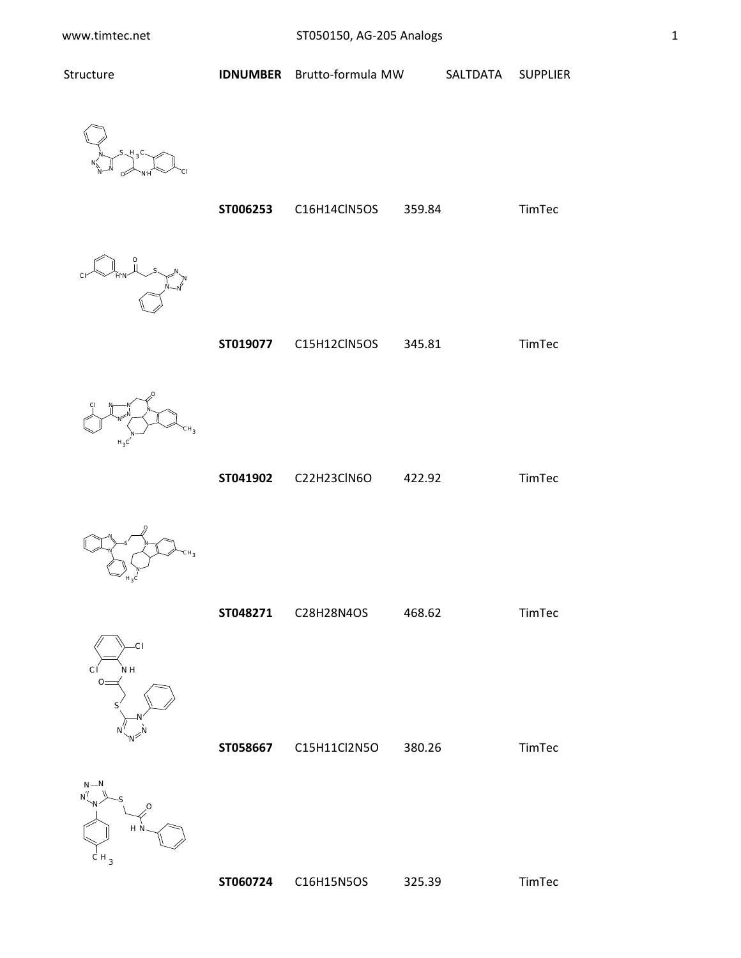

|  | ST006253 | C16H14ClN5OS | 359.84 | <b>TimTec</b> |
|--|----------|--------------|--------|---------------|
|--|----------|--------------|--------|---------------|



**ST019077** C15H12ClN5OS 345.81 TimTec



**ST041902** C22H23ClN6O 422.92 TimTec



N

 $H_3C$ 



**ST060724** C16H15N5OS 325.39 TimTec

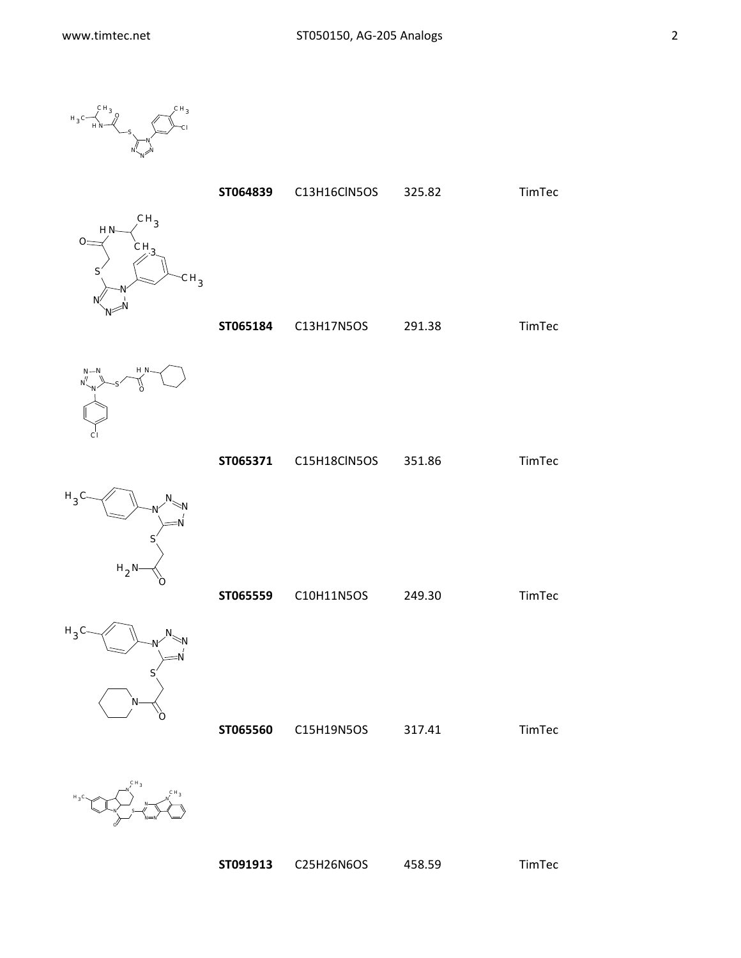O

 $H_3$ 

 $H_{\alpha}$ 

 $H_3C$ 

$$
H_3C\begin{matrix}CH_3\\ H_3C\end{matrix}
$$



**ST091913** C25H26N6OS 458.59 TimTec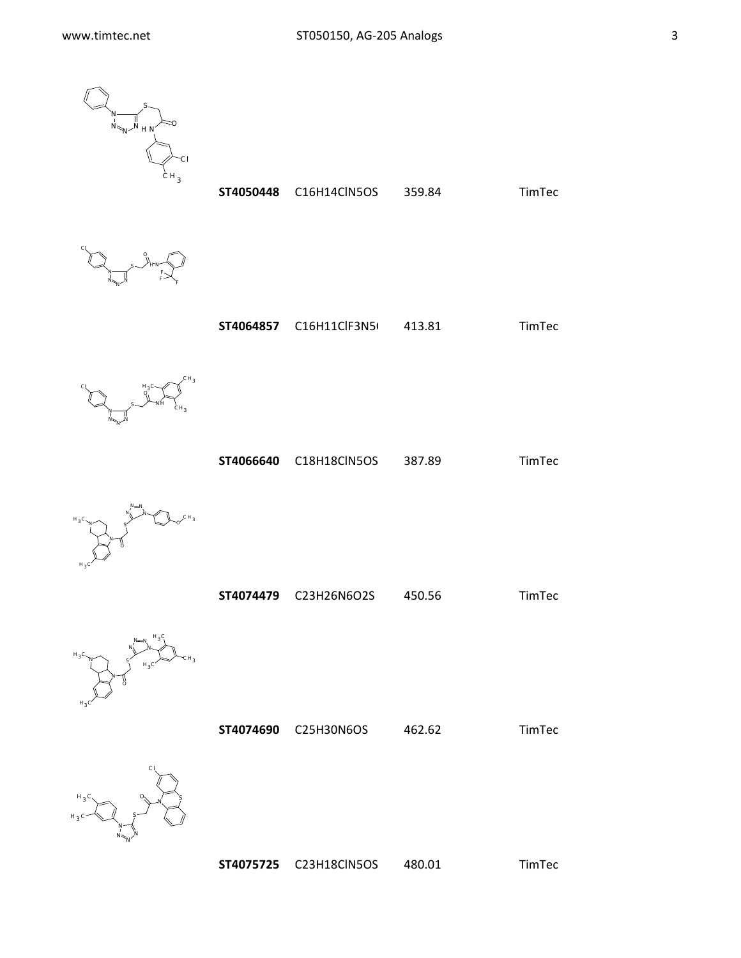

**ST4050448** C16H14ClN5OS 359.84 TimTec



**ST4064857** C16H11ClF3N5<sup>(</sup> 413.81 TimTec



**ST4066640** C18H18ClN5OS 387.89 TimTec



**ST4074479** C23H26N6O2S 450.56 TimTec



**ST4074690** C25H30N6OS 462.62 TimTec



**ST4075725** C23H18ClN5OS 480.01 TimTec



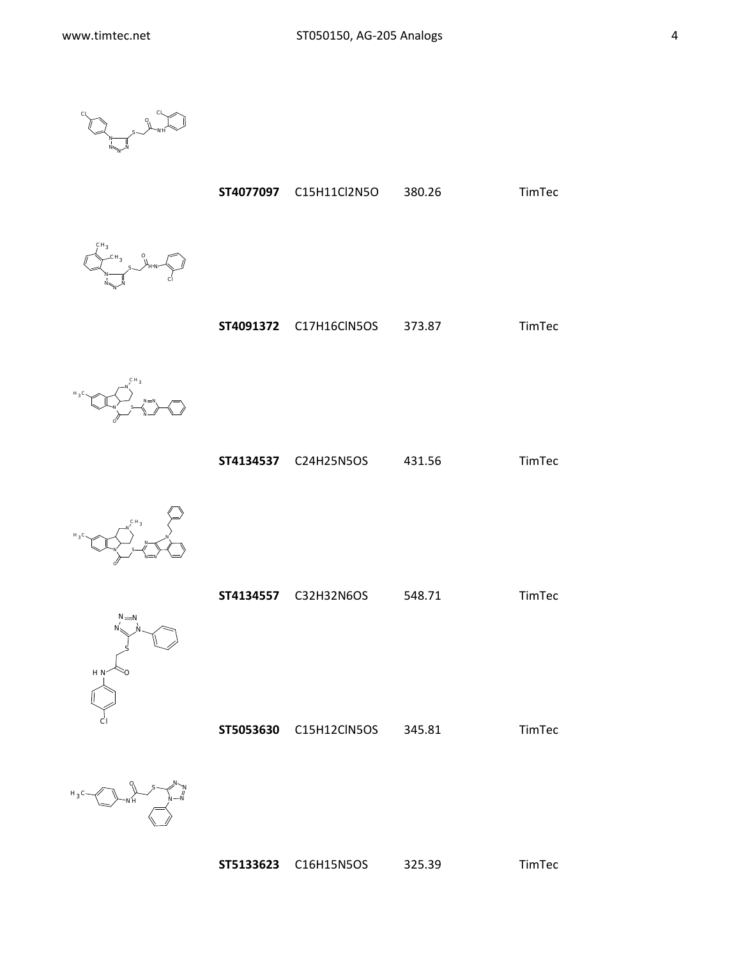$$
\begin{matrix} \mathcal{O} & \mathcal{O} \\ \mathcal{O} & \mathcal{O} \end{matrix}
$$

**ST4077097** C15H11Cl2N5O 380.26 TimTec



**ST4091372** C17H16ClN5OS 373.87 TimTec



**ST4134537** C24H25N5OS 431.56 TimTec



 $N = N$ 

S

 $H N < 0$ 

Cl



**ST5053630** C15H12ClN5OS 345.81 TimTec

N  $N_{\sim N}$ N S NH O  $H_3C$